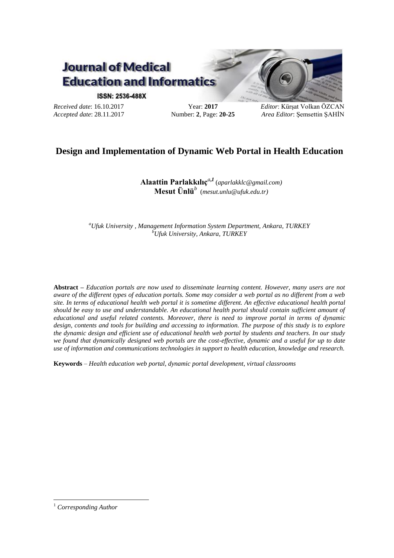

#### **ISSN: 2536-488X**

*Received date*: 16.10.2017 *Accepted date*: 28.11.2017

Year: **2017** Number: **2**, Page: **20-25** *Editor*: Kürşat Volkan ÖZCAN *Area Editor*: Şemsettin ŞAHİN

# **Design and Implementation of Dynamic Web Portal in Health Education**

**Alaattin Parlakkılıç***<sup>a</sup>***,***<sup>1</sup>* (*aparlakklc@gmail.com)* **Mesut Ünlü***<sup>b</sup>* (*mesut.unlu@ufuk.edu.tr)*

*<sup>a</sup>Ufuk University , Management Information System Department, Ankara, TURKEY <sup>b</sup>Ufuk University, Ankara, TURKEY*

**Abstract –** *Education portals are now used to disseminate learning content. However, many users are not aware of the different types of education portals. Some may consider a web portal as no different from a web site. In terms of educational health web portal it is sometime different. An effective educational health portal should be easy to use and understandable. An educational health portal should contain sufficient amount of educational and useful related contents. Moreover, there is need to improve portal in terms of dynamic design, contents and tools for building and accessing to information. The purpose of this study is to explore the dynamic design and efficient use of educational health web portal by students and teachers. In our study we found that dynamically designed web portals are the cost-effective, dynamic and a useful for up to date use of information and communications technologies in support to health education, knowledge and research.*

**Keywords** *– Health education web portal, dynamic portal development, virtual classrooms*

1

<sup>1</sup> *Corresponding Author*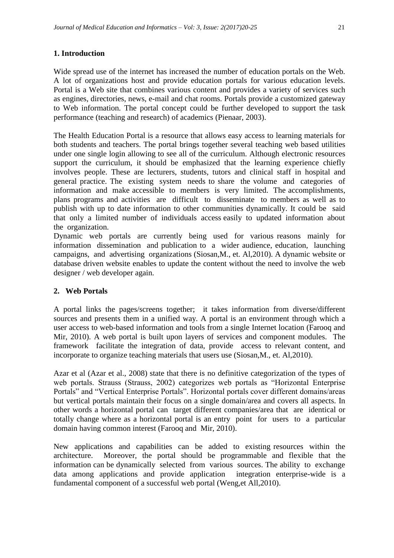# **1. Introduction**

Wide spread use of the internet has increased the number of education portals on the Web. A lot of organizations host and provide education portals for various education levels. Portal is a Web site that combines various content and provides a variety of services such as engines, directories, news, e-mail and chat rooms. Portals provide a customized gateway to Web information. The portal concept could be further developed to support the task performance (teaching and research) of academics (Pienaar, 2003).

The Health Education Portal is a resource that allows easy access to learning materials for both students and teachers. The portal brings together several teaching web based utilities under one single login allowing to see all of the curriculum. Although electronic resources support the curriculum, it should be emphasized that the learning experience chiefly involves people. These are lecturers, students, tutors and clinical staff in hospital and general practice. The existing system needs to share the volume and categories of information and make accessible to members is very limited. The accomplishments, plans programs and activities are difficult to disseminate to members as well as to publish with up to date information to other communities dynamically. It could be said that only a limited number of individuals access easily to updated information about the organization.

Dynamic web portals are currently being used for various reasons mainly for information dissemination and publication to a wider audience, education, launching campaigns, and advertising organizations (Siosan,M., et. Al,2010). A dynamic website or database driven website enables to update the content without the need to involve the web designer / web developer again.

## **2. Web Portals**

A portal links the pages/screens together; it takes information from diverse/different sources and presents them in a unified way. A portal is an environment through which a user access to web-based information and tools from a single Internet location (Farooq and Mir, 2010). A web portal is built upon layers of services and component modules. The framework facilitate the integration of data, provide access to relevant content, and incorporate to organize teaching materials that users use (Siosan,M., et. Al,2010).

Azar et al (Azar et al., 2008) state that there is no definitive categorization of the types of web portals. Strauss (Strauss, 2002) categorizes web portals as "Horizontal Enterprise Portals" and "Vertical Enterprise Portals". Horizontal portals cover different domains/areas but vertical portals maintain their focus on a single domain/area and covers all aspects. In other words a horizontal portal can target different companies/area that are identical or totally change where as a horizontal portal is an entry point for users to a particular domain having common interest (Farooq and Mir, 2010).

New applications and capabilities can be added to existing resources within the architecture. Moreover, the portal should be programmable and flexible that the information can be dynamically selected from various sources. The ability to exchange data among applications and provide application integration enterprise-wide is a fundamental component of a successful web portal (Weng,et All,2010).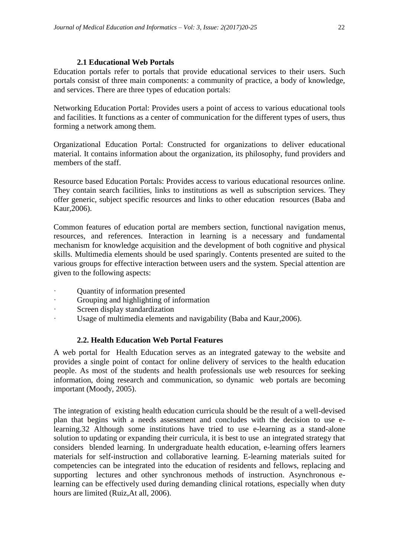### **2.1 Educational Web Portals**

Education portals refer to portals that provide educational services to their users. Such portals consist of three main components: a community of practice, a body of knowledge, and services. There are three types of education portals:

Networking Education Portal: Provides users a point of access to various educational tools and facilities. It functions as a center of communication for the different types of users, thus forming a network among them.

Organizational Education Portal: Constructed for organizations to deliver educational material. It contains information about the organization, its philosophy, fund providers and members of the staff.

Resource based Education Portals: Provides access to various educational resources online. They contain search facilities, links to institutions as well as subscription services. They offer generic, subject specific resources and links to other education resources (Baba and Kaur,2006).

Common features of education portal are members section, functional navigation menus, resources, and references. Interaction in learning is a necessary and fundamental mechanism for knowledge acquisition and the development of both cognitive and physical skills. Multimedia elements should be used sparingly. Contents presented are suited to the various groups for effective interaction between users and the system. Special attention are given to the following aspects:

- · Quantity of information presented
- Grouping and highlighting of information
- Screen display standardization
- Usage of multimedia elements and navigability (Baba and Kaur, 2006).

## **2.2. Health Education Web Portal Features**

A web portal for Health Education serves as an integrated gateway to the website and provides a single point of contact for online delivery of services to the health education people. As most of the students and health professionals use web resources for seeking information, doing research and communication, so dynamic web portals are becoming important (Moody, 2005).

The integration of existing health education curricula should be the result of a well-devised plan that begins with a needs assessment and concludes with the decision to use elearning[.32](http://journals.lww.com/academicmedicine/fulltext/2006/03000/the_impact_of_e_learning_in_medical_education.2.aspx) Although some institutions have tried to use e-learning as a stand-alone solution to updating or expanding their curricula, it is best to use an integrated strategy that considers blended learning. In undergraduate health education, e-learning offers learners materials for self-instruction and collaborative learning. E-learning materials suited for competencies can be integrated into the education of residents and fellows, replacing and supporting lectures and other synchronous methods of instruction. Asynchronous elearning can be effectively used during demanding clinical rotations, especially when duty hours are limited (Ruiz,At all, 2006).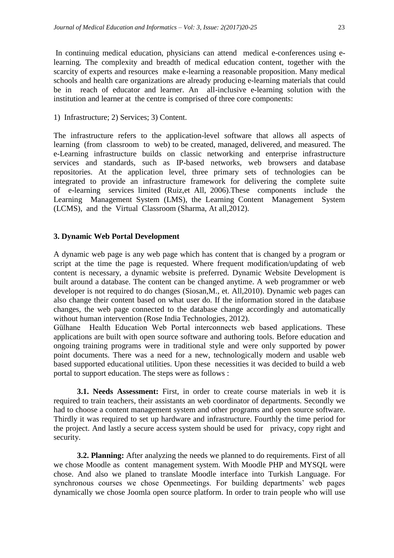In continuing medical education, physicians can attend medical e-conferences using elearning. The complexity and breadth of medical education content, together with the scarcity of experts and resources make e-learning a reasonable proposition. Many medical schools and health care organizations are already producing e-learning materials that could be in reach of educator and learner. An all-inclusive e-learning solution with the institution and learner at the centre is comprised of three core components:

1) Infrastructure; 2) Services; 3) Content.

The infrastructure refers to the application-level software that allows all aspects of learning (from classroom to web) to be created, managed, delivered, and measured. The e-Learning infrastructure builds on classic networking and enterprise infrastructure services and standards, such as IP-based networks, web browsers and database repositories. At the application level, three primary sets of technologies can be integrated to provide an infrastructure framework for delivering the complete suite of e-learning services limited (Ruiz,et All, 2006).These components include the Learning Management System (LMS), the Learning Content Management System (LCMS), and the Virtual Classroom (Sharma, At all,2012).

#### **3. Dynamic Web Portal Development**

A dynamic web page is any web page which has content that is changed by a program or script at the time the page is requested. Where frequent modification/updating of web content is necessary, a dynamic website is preferred. Dynamic Website Development is built around a database. The content can be changed anytime. A web programmer or web developer is not required to do changes (Siosan,M., et. All,2010). Dynamic web pages can also change their content based on what user do. If the information stored in the database changes, the web page connected to the database change accordingly and automatically without human intervention (Rose India Technologies, 2012).

Gülhane Health Education Web Portal interconnects web based applications. These applications are built with open source software and authoring tools. Before education and ongoing training programs were in traditional style and were only supported by power point documents. There was a need for a new, technologically modern and usable web based supported educational utilities. Upon these necessities it was decided to build a web portal to support education. The steps were as follows :

**3.1. Needs Assessment:** First, in order to create course materials in web it is required to train teachers, their assistants an web coordinator of departments. Secondly we had to choose a content management system and other programs and open source software. Thirdly it was required to set up hardware and infrastructure. Fourthly the time period for the project. And lastly a secure access system should be used for privacy, copy right and security.

**3.2. Planning:** After analyzing the needs we planned to do requirements. First of all we chose Moodle as content management system. With Moodle PHP and MYSQL were chose. And also we planed to translate Moodle interface into Turkish Language. For synchronous courses we chose Openmeetings. For building departments' web pages dynamically we chose Joomla open source platform. In order to train people who will use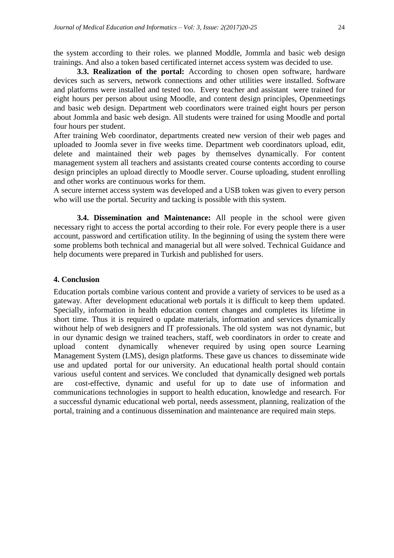the system according to their roles. we planned Moddle, Jommla and basic web design trainings. And also a token based certificated internet access system was decided to use.

**3.3. Realization of the portal:** According to chosen open software, hardware devices such as servers, network connections and other utilities were installed. Software and platforms were installed and tested too. Every teacher and assistant were trained for eight hours per person about using Moodle, and content design principles, Openmeetings and basic web design. Department web coordinators were trained eight hours per person about Jommla and basic web design. All students were trained for using Moodle and portal four hours per student.

After training Web coordinator, departments created new version of their web pages and uploaded to Joomla sever in five weeks time. Department web coordinators upload, edit, delete and maintained their web pages by themselves dynamically. For content management system all teachers and assistants created course contents according to course design principles an upload directly to Moodle server. Course uploading, student enrolling and other works are continuous works for them.

A secure internet access system was developed and a USB token was given to every person who will use the portal. Security and tacking is possible with this system.

**3.4. Dissemination and Maintenance:** All people in the school were given necessary right to access the portal according to their role. For every people there is a user account, password and certification utility. In the beginning of using the system there were some problems both technical and managerial but all were solved. Technical Guidance and help documents were prepared in Turkish and published for users.

#### **4. Conclusion**

Education portals combine various content and provide a variety of services to be used as a gateway. After development educational web portals it is difficult to keep them updated. Specially, information in health education content changes and completes its lifetime in short time. Thus it is required o update materials, information and services dynamically without help of web designers and IT professionals. The old system was not dynamic, but in our dynamic design we trained teachers, staff, web coordinators in order to create and upload content dynamically whenever required by using open source Learning Management System (LMS), design platforms. These gave us chances to disseminate wide use and updated portal for our university. An educational health portal should contain various useful content and services. We concluded that dynamically designed web portals are cost-effective, dynamic and useful for up to date use of information and communications technologies in support to health education, knowledge and research. For a successful dynamic educational web portal, needs assessment, planning, realization of the portal, training and a continuous dissemination and maintenance are required main steps.